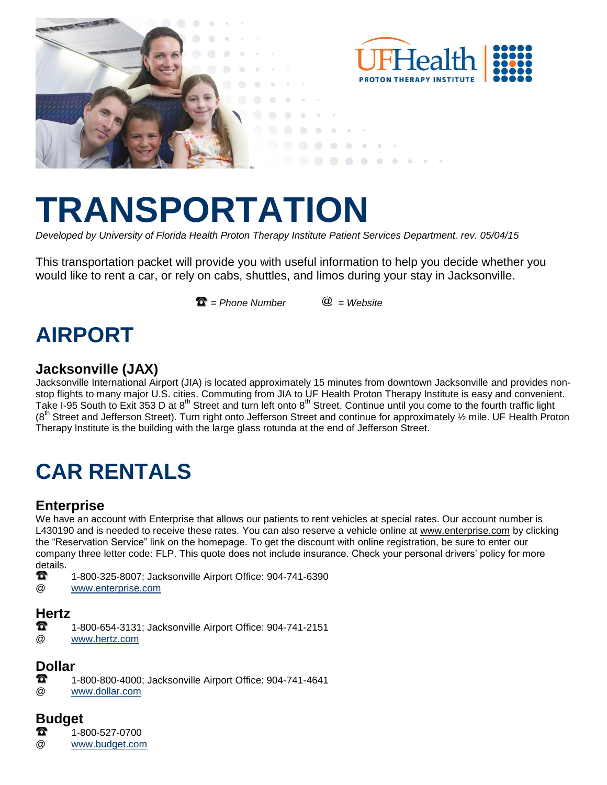

# **TRANSPORTATION**

*Developed by University of Florida Health Proton Therapy Institute Patient Services Department. rev. 05/04/15*

This transportation packet will provide you with useful information to help you decide whether you would like to rent a car, or rely on cabs, shuttles, and limos during your stay in Jacksonville.

 $\mathbf{\Omega} =$  Phone Number  $\qquad \mathbf{\Omega} =$  Website

### **AIRPORT**

#### **Jacksonville (JAX)**

Jacksonville International Airport (JIA) is located approximately 15 minutes from downtown Jacksonville and provides nonstop flights to many major U.S. cities. Commuting from JIA to UF Health Proton Therapy Institute is easy and convenient. Take I-95 South to Exit 353 D at 8<sup>th</sup> Street and turn left onto 8<sup>th</sup> Street. Continue until you come to the fourth traffic light (8<sup>th</sup> Street and Jefferson Street). Turn right onto Jefferson Street and continue for approximately 1/2 mile. UF Health Proton Therapy Institute is the building with the large glass rotunda at the end of Jefferson Street.

# **CAR RENTALS**

#### **Enterprise**

We have an account with Enterprise that allows our patients to rent vehicles at special rates. Our account number is L430190 and is needed to receive these rates. You can also reserve a vehicle online at [www.enterprise.com](http://www.enterprise.com/) by clicking the "Reservation Service" link on the homepage. To get the discount with online registration, be sure to enter our company three letter code: FLP. This quote does not include insurance. Check your personal drivers' policy for more details.

- Ð. 1-800-325-8007; Jacksonville Airport Office: 904-741-6390
- @ [www.enterprise.com](http://www.enterprise.com/)

#### **Hertz**

- n 1-800-654-3131; Jacksonville Airport Office: 904-741-2151
- @ [www.hertz.com](http://www.hertz.com/)

### **Dollar**

- 1-800-800-4000; Jacksonville Airport Office: 904-741-4641
- @ [www.dollar.com](http://www.dollar.com/)

#### **Budget**

- Ł. 1-800-527-0700
- @ [www.budget.com](http://www.budget.com/)